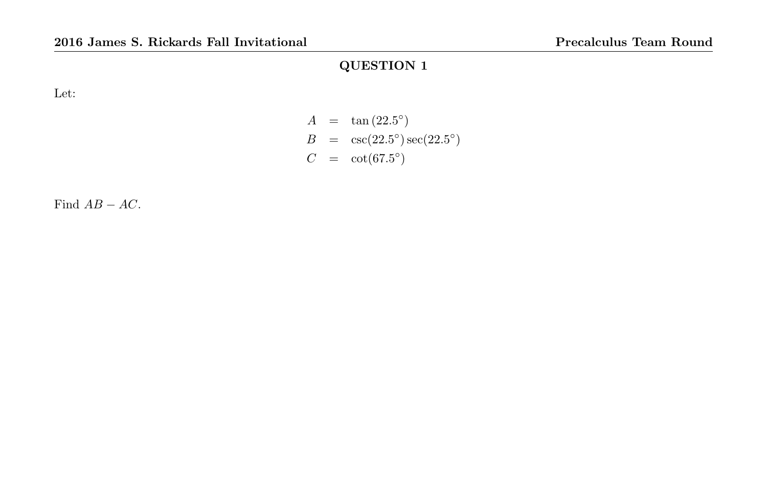Let:

$$
A = \tan(22.5^{\circ})
$$
  
\n
$$
B = \csc(22.5^{\circ}) \sec(22.5^{\circ})
$$
  
\n
$$
C = \cot(67.5^{\circ})
$$

Find  $AB - AC$ .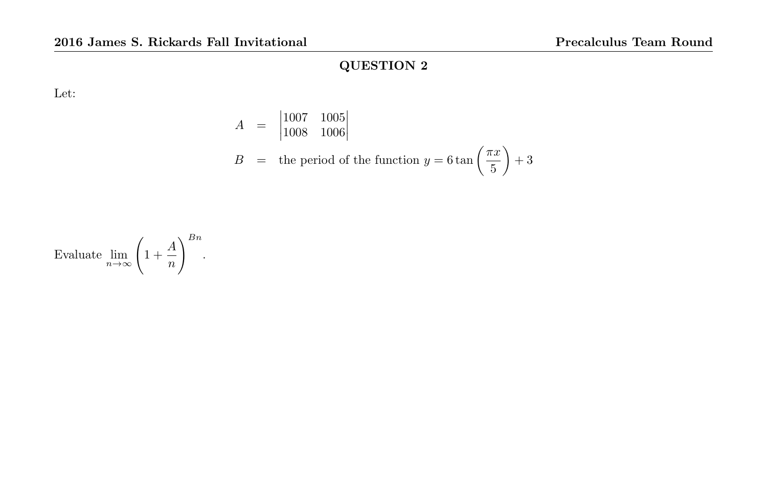Let:

$$
A = \begin{vmatrix} 1007 & 1005 \\ 1008 & 1006 \end{vmatrix}
$$
  

$$
B = \text{the period of the function } y = 6 \tan \left( \frac{\pi x}{5} \right) + 3
$$

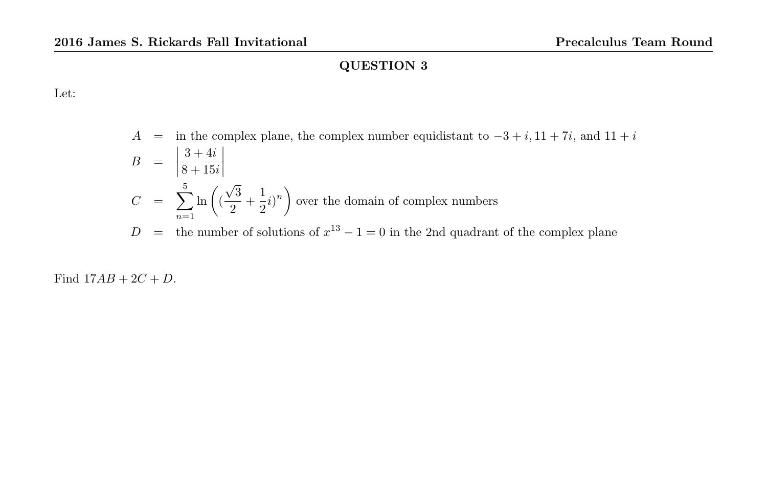Let:

$$
A = \text{in the complex plane, the complex number equidistant to } -3 + i, 11 + 7i, \text{ and } 11 + i
$$
  
\n
$$
B = \left| \frac{3 + 4i}{8 + 15i} \right|
$$
  
\n
$$
C = \sum_{n=1}^{5} \ln \left( \left( \frac{\sqrt{3}}{2} + \frac{1}{2} i \right)^n \right) \text{ over the domain of complex numbers}
$$
  
\n
$$
D = \text{the number of solutions of } x^{13} - 1 = 0 \text{ in the 2nd quadrant of the complex plane}
$$

Find  $17AB + 2C + D$ .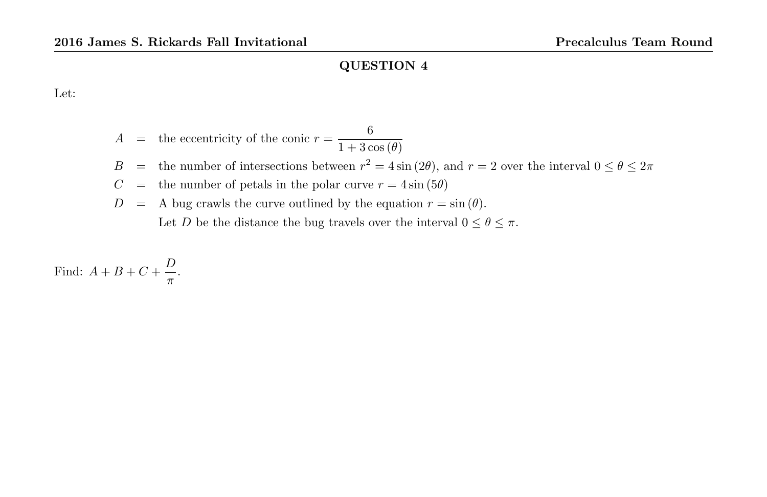Let:

 $A =$  the eccentricity of the conic  $r = \frac{6}{1+2}$  $1 + 3\cos(\theta)$ B = the number of intersections between  $r^2 = 4 \sin(2\theta)$ , and  $r = 2$  over the interval  $0 \le \theta \le 2\pi$  $C =$  the number of petals in the polar curve  $r = 4 \sin (5\theta)$  $D = A$  bug crawls the curve outlined by the equation  $r = \sin(\theta)$ . Let D be the distance the bug travels over the interval  $0 \le \theta \le \pi$ .

Find:  $A + B + C + \frac{D}{A}$  $\frac{\nu}{\pi}$ .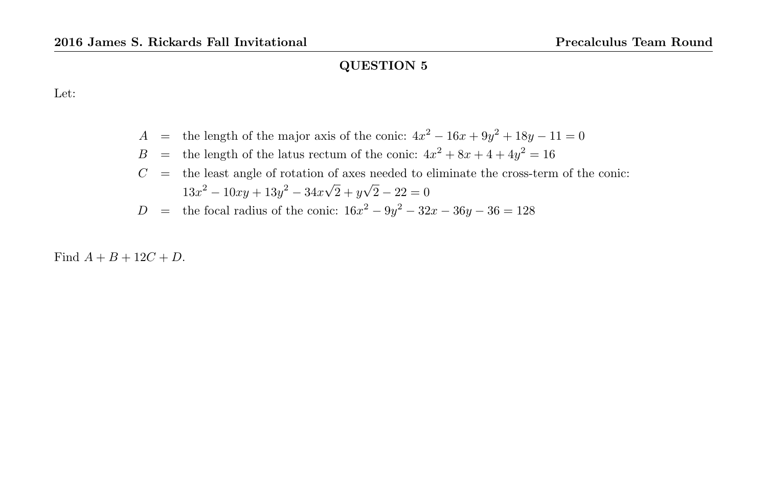Let:

- A = the length of the major axis of the conic:  $4x^2 16x + 9y^2 + 18y 11 = 0$
- $B =$  the length of the latus rectum of the conic:  $4x^2 + 8x + 4 + 4y^2 = 16$
- $C =$  the least angle of rotation of axes needed to eliminate the cross-term of the conic:  $13x^2 - 10xy + 13y^2 - 34x\sqrt{ }$  $2 + y$ √  $2 - 22 = 0$
- D = the focal radius of the conic:  $16x^2 9y^2 32x 36y 36 = 128$

Find  $A + B + 12C + D$ .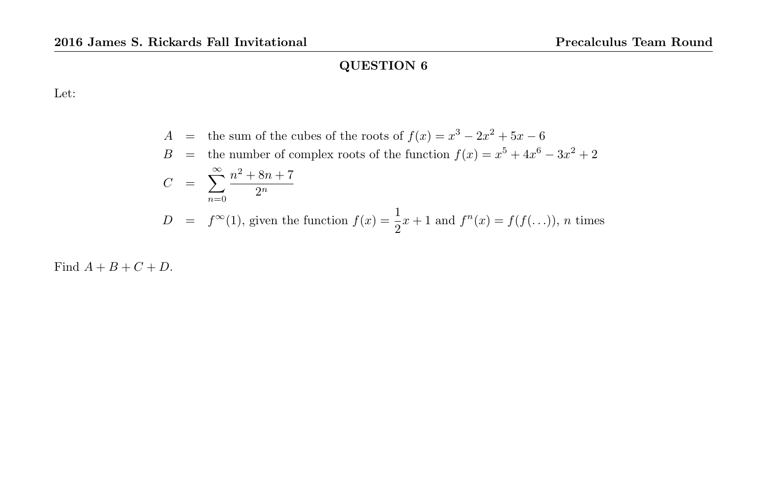Let:

$$
A = \text{the sum of the cubes of the roots of } f(x) = x^3 - 2x^2 + 5x - 6
$$
  
\n
$$
B = \text{the number of complex roots of the function } f(x) = x^5 + 4x^6 - 3x^2 + 2
$$
  
\n
$$
C = \sum_{n=0}^{\infty} \frac{n^2 + 8n + 7}{2^n}
$$
  
\n
$$
D = f^{\infty}(1), \text{ given the function } f(x) = \frac{1}{2}x + 1 \text{ and } f^{n}(x) = f(f(...)), n \text{ times}
$$

Find  $A + B + C + D$ .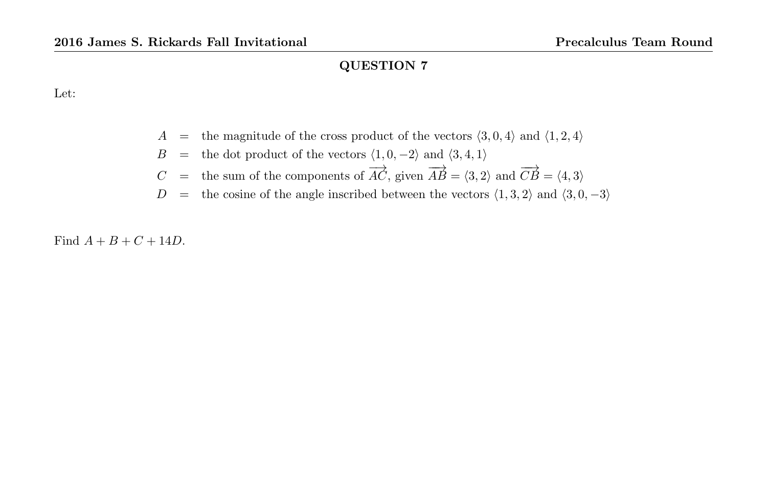Let:

- $A =$  the magnitude of the cross product of the vectors  $\langle 3, 0, 4 \rangle$  and  $\langle 1, 2, 4 \rangle$
- B = the dot product of the vectors  $\langle 1, 0, -2 \rangle$  and  $\langle 3, 4, 1 \rangle$
- $C =$  the sum of the components of  $\overrightarrow{AC}$ , given  $\overrightarrow{AB} = \langle 3, 2 \rangle$  and  $\overrightarrow{CB} = \langle 4, 3 \rangle$
- D = the cosine of the angle inscribed between the vectors  $\langle 1, 3, 2 \rangle$  and  $\langle 3, 0, -3 \rangle$

Find  $A + B + C + 14D$ .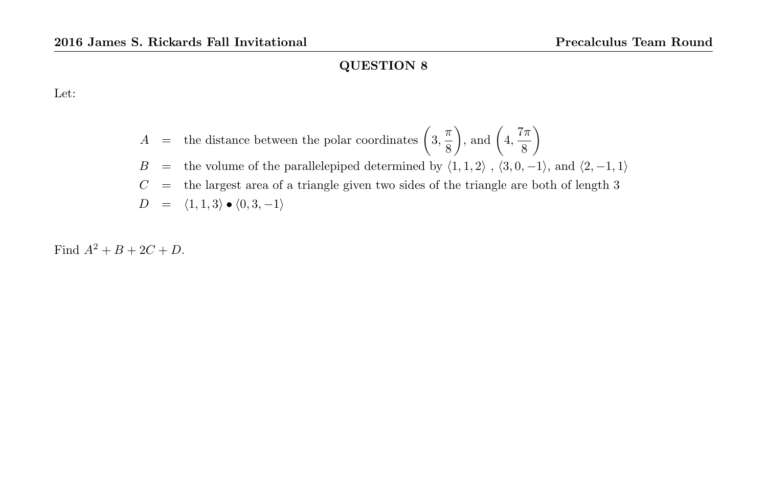Let:

$$
A =
$$
 the distance between the polar coordinates  $\left(3, \frac{\pi}{8}\right)$ , and  $\left(4, \frac{7\pi}{8}\right)$ 

$$
B =
$$
 the volume of the parallelepiped determined by  $\langle 1, 1, 2 \rangle$ ,  $\langle 3, 0, -1 \rangle$ , and  $\langle 2, -1, 1 \rangle$ 

$$
C\quad =\quad \hbox{the largest area of a triangle given two sides of the triangle are both of length 3}
$$

$$
D = \langle 1, 1, 3 \rangle \bullet \langle 0, 3, -1 \rangle
$$

Find  $A^2 + B + 2C + D$ .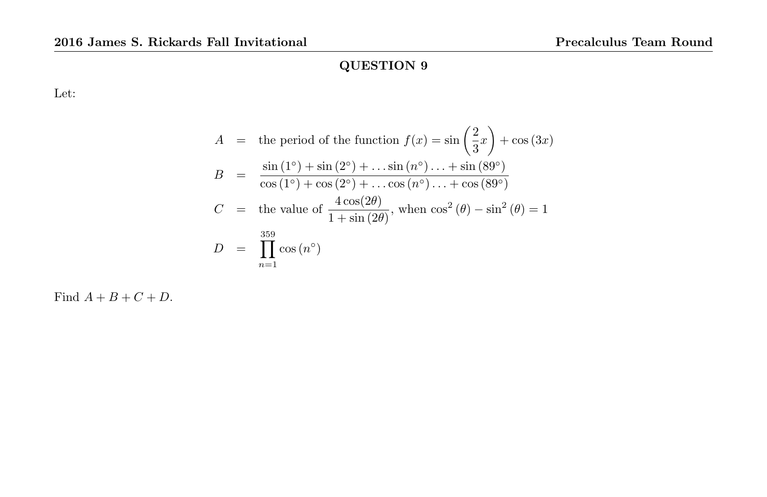Let:

$$
A = \text{the period of the function } f(x) = \sin\left(\frac{2}{3}x\right) + \cos(3x)
$$
  
\n
$$
B = \frac{\sin(1^{\circ}) + \sin(2^{\circ}) + \dots \sin(n^{\circ}) \dots + \sin(89^{\circ})}{\cos(1^{\circ}) + \cos(2^{\circ}) + \dots \cos(n^{\circ}) \dots + \cos(89^{\circ})}
$$
  
\n
$$
C = \text{the value of } \frac{4\cos(2\theta)}{1 + \sin(2\theta)}, \text{ when } \cos^{2}(\theta) - \sin^{2}(\theta) = 1
$$
  
\n
$$
D = \prod_{n=1}^{359} \cos(n^{\circ})
$$

Find  $A + B + C + D$ .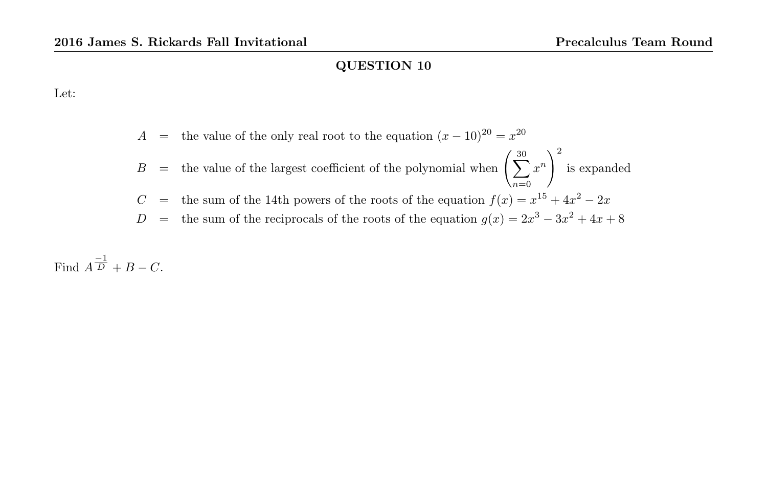Let:

$$
A =
$$
 the value of the only real root to the equation  $(x - 10)^{20} = x^{20}$   
\n
$$
B =
$$
 the value of the largest coefficient of the polynomial when  $\left(\sum_{n=0}^{30} x^n\right)^2$  is expanded  
\n
$$
C =
$$
 the sum of the 14th powers of the roots of the equation  $f(x) = x^{15} + 4x^2 - 2x$   
\n
$$
D =
$$
 the sum of the reciprocals of the roots of the equation  $g(x) = 2x^3 - 3x^2 + 4x + 8$ 

Find  $A^{\frac{-1}{D}} + B - C$ .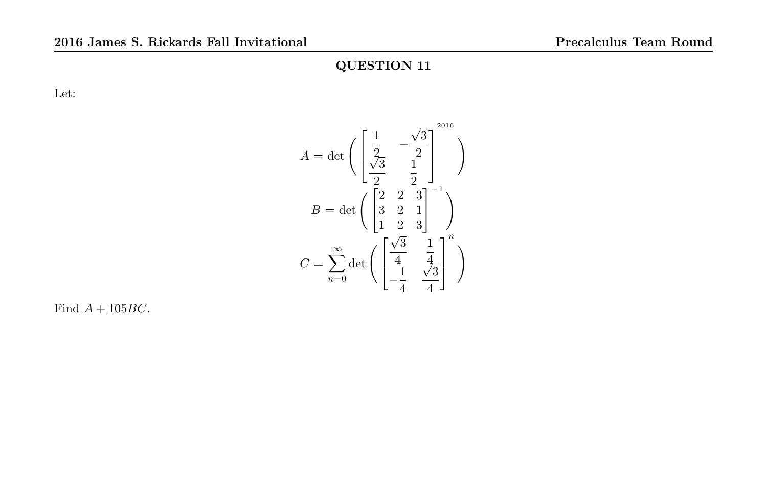Let:

$$
A = \det \left( \begin{bmatrix} \frac{1}{2} & -\frac{\sqrt{3}}{2} \\ \frac{\sqrt{3}}{2} & \frac{1}{2} \end{bmatrix}^{2016} \right)
$$

$$
B = \det \left( \begin{bmatrix} 2 & 2 & 3 \\ 3 & 2 & 1 \\ 1 & 2 & 3 \end{bmatrix}^{-1} \right)
$$

$$
C = \sum_{n=0}^{\infty} \det \left( \begin{bmatrix} \frac{\sqrt{3}}{4} & \frac{1}{4} \\ -\frac{1}{4} & \frac{\sqrt{3}}{4} \end{bmatrix}^{n} \right)
$$

Find  $A + 105BC$ .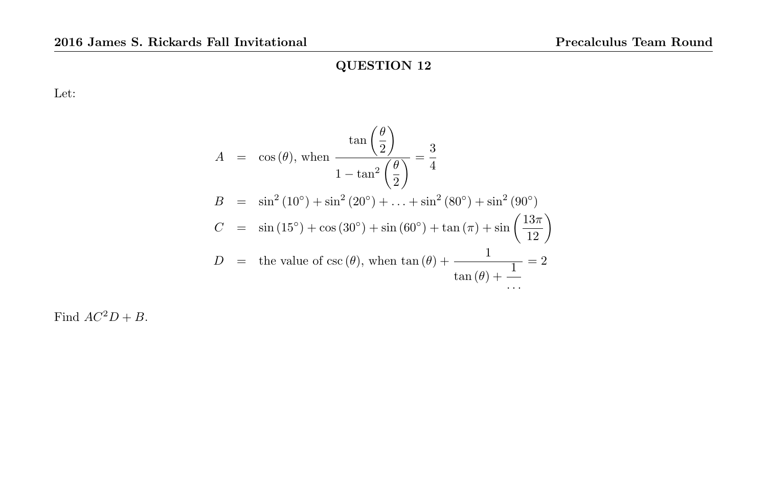Let:

$$
A = \cos(\theta), \text{ when } \frac{\tan(\frac{\theta}{2})}{1 - \tan^2(\frac{\theta}{2})} = \frac{3}{4}
$$
  
\n
$$
B = \sin^2(10^\circ) + \sin^2(20^\circ) + \dots + \sin^2(80^\circ) + \sin^2(90^\circ)
$$
  
\n
$$
C = \sin(15^\circ) + \cos(30^\circ) + \sin(60^\circ) + \tan(\pi) + \sin(\frac{13\pi}{12})
$$
  
\n
$$
D = \text{the value of } \csc(\theta), \text{ when } \tan(\theta) + \frac{1}{\tan(\theta) + \frac{1}{\tan(\theta) + \frac{1}{\tan(\theta) + \frac{1}{\tan(\theta) + \frac{1}{\tan(\theta) + \frac{1}{\tan(\theta) + \frac{1}{\tan(\theta) + \frac{1}{\tan(\theta) + \frac{1}{\tan(\theta) + \frac{1}{\tan(\theta) + \frac{1}{\tan(\theta) + \frac{1}{\tan(\theta) + \frac{1}{\tan(\theta) + \frac{1}{\tan(\theta) + \frac{1}{\tan(\theta) + \frac{1}{\tan(\theta) + \frac{1}{\tan(\theta) + \frac{1}{\tan(\theta) + \frac{1}{\tan(\theta) + \frac{1}{\tan(\theta) + \frac{1}{\tan(\theta) + \frac{1}{\tan(\theta) + \frac{1}{\tan(\theta) + \frac{1}{\tan(\theta) + \frac{1}{\tan(\theta) + \frac{1}{\tan(\theta) + \frac{1}{\tan(\theta) + \frac{1}{\tan(\theta) + \frac{1}{\tan(\theta) + \frac{1}{\tan(\theta) + \frac{1}{\tan(\theta) + \frac{1}{\tan(\theta) + \frac{1}{\tan(\theta) + \frac{1}{\tan(\theta) + \frac{1}{\tan(\theta) + \frac{1}{\tan(\theta) + \frac{1}{\tan(\theta) + \frac{1}{\tan(\theta) + \frac{1}{\tan(\theta) + \frac{1}{\tan(\theta) + \frac{1}{\tan(\theta) + \frac{1}{\tan(\theta) + \frac{1}{\tan(\theta) + \frac{1}{\tan(\theta) + \frac{1}{\tan(\theta) + \frac{1}{\tan(\theta) + \frac{1}{\tan(\theta) + \frac{1}{\tan(\theta) + \frac{1}{\tan(\theta) + \frac{1}{\tan(\theta) + \frac{1}{\tan
$$

Find  $AC^2D + B$ .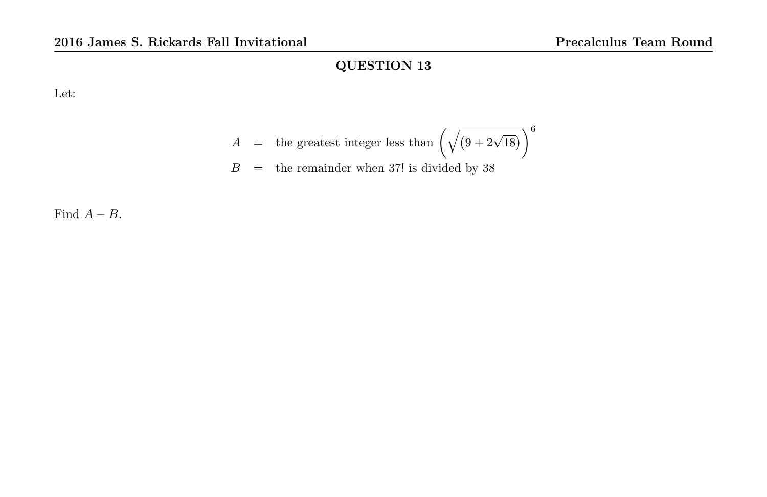Let:

$$
A = \text{the greatest integer less than } \left(\sqrt{(9+2\sqrt{18})}\right)^6
$$
  

$$
B = \text{the remainder when 37! is divided by 38}
$$

Find  $A - B$ .